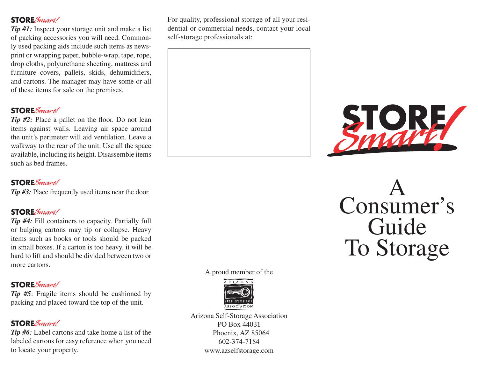**STORE***Smart!*<br>Tip #1: Inspect your storage unit and make a list of packing accessories you will need. Commonly used packing aids include such items as newsprint or wrapping paper, bubble-wrap, tape, rope, drop cloths, polyurethane sheeting, mattress and furniture covers, pallets, skids, dehumidifiers, and cartons. The manager may have some or all of these items for sale on the premises.

**STORE**Smart! *Tip #2:* Place a pallet on the floor. Do not lean items against walls. Leaving air space around the unit's perimeter will aid ventilation. Leave a walkway to the rear of the unit. Use all the space available, including its height. Disassemble items such as bed frames.

# **STORE**Smart!

*Tip #3:* Place frequently used items near the door.

**STORE**Smart! *Tip #4:* Fill containers to capacity. Partially full or bulging cartons may tip or collapse. Heavy items such as books or tools should be packed in small boxes. If a carton is too heavy, it will be hard to lift and should be divided between two or more cartons.

**STORE***Smart!*<br>Tip #5: Fragile items should be cushioned by packing and placed toward the top of the unit.

**STORE**Smart! *Tip #6:* Label cartons and take home a list of the labeled cartons for easy reference when you need to locate your property.

For quality, professional storage of all your residential or commercial needs, contact your local self-storage professionals at:



A proud member of the



Arizona Self-Storage Association PO Box 44031 Phoenix, AZ 85064 602-374-7184 www.azselfstorage.com



A Consumer's Guide To Storage